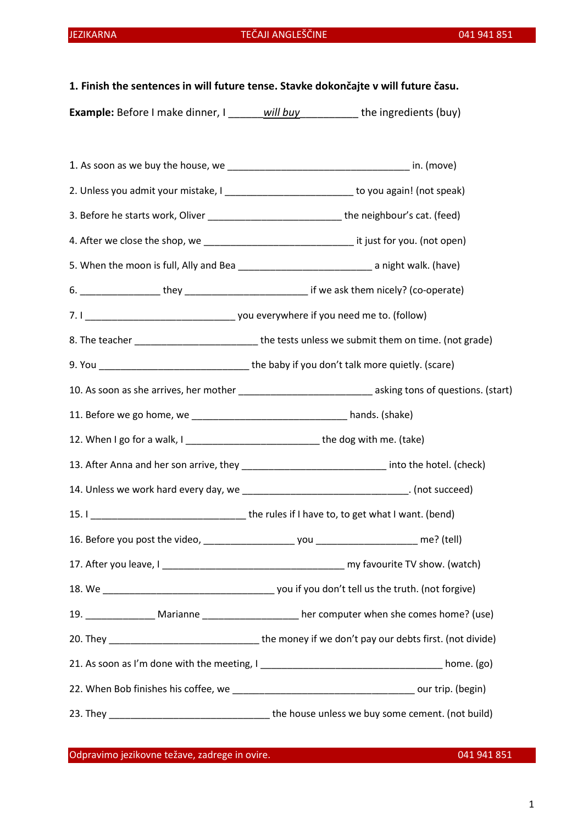1. Finish the sentences in will future tense. Stavke dokončajte v will future času.

Example: Before I make dinner, I will buy the ingredients (buy)

|                                                                                  | 2. Unless you admit your mistake, I ______________________________ to you again! (not speak)              |
|----------------------------------------------------------------------------------|-----------------------------------------------------------------------------------------------------------|
|                                                                                  | 3. Before he starts work, Oliver _______________________________the neighbour's cat. (feed)               |
|                                                                                  |                                                                                                           |
|                                                                                  | 5. When the moon is full, Ally and Bea ________________________________ a night walk. (have)              |
|                                                                                  |                                                                                                           |
|                                                                                  |                                                                                                           |
|                                                                                  | 8. The teacher ____________________________the tests unless we submit them on time. (not grade)           |
|                                                                                  | 9. You __________________________________the baby if you don't talk more quietly. (scare)                 |
|                                                                                  | 10. As soon as she arrives, her mother ________________________________ asking tons of questions. (start) |
|                                                                                  |                                                                                                           |
| 12. When I go for a walk, I _____________________________the dog with me. (take) |                                                                                                           |
|                                                                                  | 13. After Anna and her son arrive, they _______________________________ into the hotel. (check)           |
|                                                                                  | 14. Unless we work hard every day, we __________________________________. (not succeed)                   |
|                                                                                  |                                                                                                           |
|                                                                                  |                                                                                                           |
|                                                                                  |                                                                                                           |
|                                                                                  |                                                                                                           |
|                                                                                  | 19. __________________ Marianne _____________________ her computer when she comes home? (use)             |
|                                                                                  |                                                                                                           |
|                                                                                  |                                                                                                           |
|                                                                                  |                                                                                                           |
|                                                                                  |                                                                                                           |

Odpravimo jezikovne težave, zadrege in ovire. 041 941 851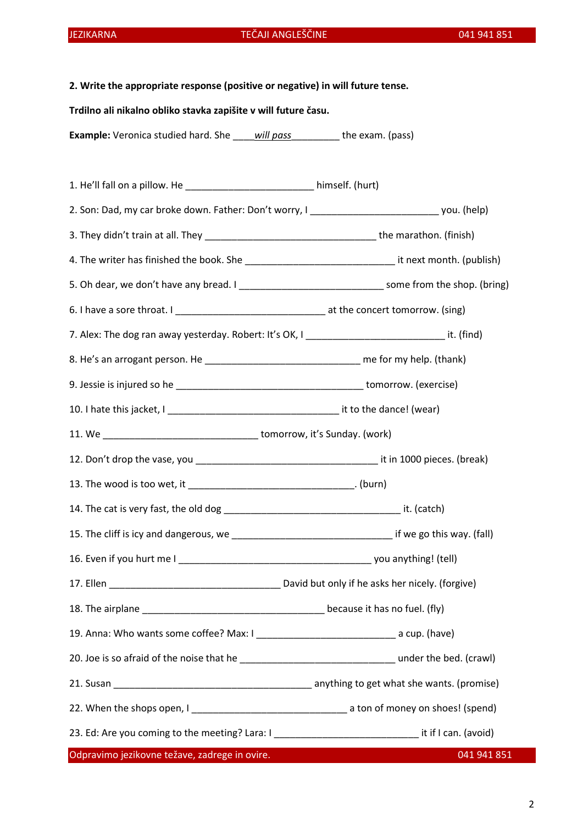### JEZIKARNA TEČAJI ANGLEŠČINE 041 941 851

# 2. Write the appropriate response (positive or negative) in will future tense.

#### Trdilno ali nikalno obliko stavka zapišite v will future času.

Example: Veronica studied hard. She will pass the exam. (pass)

Odpravimo jezikovne težave, zadrege in ovire. 041 941 851 1. He'll fall on a pillow. He \_\_\_\_\_\_\_\_\_\_\_\_\_\_\_\_\_\_\_\_\_\_\_\_ himself. (hurt) 2. Son: Dad, my car broke down. Father: Don't worry, I \_\_\_\_\_\_\_\_\_\_\_\_\_\_\_\_\_\_\_\_\_\_\_\_ you. (help) 3. They didn't train at all. They \_\_\_\_\_\_\_\_\_\_\_\_\_\_\_\_\_\_\_\_\_\_\_\_\_\_\_\_\_\_\_\_ the marathon. (finish) 4. The writer has finished the book. She **we are all the state of the state of the writer** has finished the book. She 5. Oh dear, we don't have any bread. I \_\_\_\_\_\_\_\_\_\_\_\_\_\_\_\_\_\_\_\_\_\_\_\_\_\_\_ some from the shop. (bring) 6. I have a sore throat. I \_\_\_\_\_\_\_\_\_\_\_\_\_\_\_\_\_\_\_\_\_\_\_\_\_\_\_\_ at the concert tomorrow. (sing) 7. Alex: The dog ran away yesterday. Robert: It's OK, I \_\_\_\_\_\_\_\_\_\_\_\_\_\_\_\_\_\_\_\_\_\_\_\_\_\_\_\_\_\_\_\_\_ it. (find) 8. He's an arrogant person. He definition of the same me for my help. (thank) 9. Jessie is injured so he \_\_\_\_\_\_\_\_\_\_\_\_\_\_\_\_\_\_\_\_\_\_\_\_\_\_\_\_\_\_\_\_\_\_\_ tomorrow. (exercise) 10. I hate this jacket, I \_\_\_\_\_\_\_\_\_\_\_\_\_\_\_\_\_\_\_\_\_\_\_\_\_\_\_\_\_\_\_\_ it to the dance! (wear) 11. We \_\_\_\_\_\_\_\_\_\_\_\_\_\_\_\_\_\_\_\_\_\_\_\_\_\_\_\_\_ tomorrow, it's Sunday. (work) 12. Don't drop the vase, you exactled the vasual control of the vasual series of the vasual control of the vasual control of the vasual control of the vasual control of the vasual control of the vasual control of the vasua 13. The wood is too wet, it \_\_\_\_\_\_\_\_\_\_\_\_\_\_\_\_\_\_\_\_\_\_\_\_\_\_\_\_\_\_\_. (burn) 14. The cat is very fast, the old dog example of the state of the catch) it. (catch) 15. The cliff is icy and dangerous, we example the same set of the go this way. (fall) 16. Even if you hurt me I \_\_\_\_\_\_\_\_\_\_\_\_\_\_\_\_\_\_\_\_\_\_\_\_\_\_\_\_\_\_\_\_\_\_\_\_ you anything! (tell) 17. Ellen \_\_\_\_\_\_\_\_\_\_\_\_\_\_\_\_\_\_\_\_\_\_\_\_\_\_\_\_\_\_\_\_ David but only if he asks her nicely. (forgive) 18. The airplane **18.** The airplane it has no fuel. (fly) 19. Anna: Who wants some coffee? Max: I can be a cup. (have) 20. Joe is so afraid of the noise that he **was allocated** under the bed. (crawl) 21. Susan \_\_\_\_\_\_\_\_\_\_\_\_\_\_\_\_\_\_\_\_\_\_\_\_\_\_\_\_\_\_\_\_\_\_\_\_\_ anything to get what she wants. (promise) 22. When the shops open, I \_\_\_\_\_\_\_\_\_\_\_\_\_\_\_\_\_\_\_\_\_\_\_\_\_\_\_\_\_ a ton of money on shoes! (spend) 23. Ed: Are you coming to the meeting? Lara: I can in the meeting of the method of the method of the method of the meeting? Lara: I